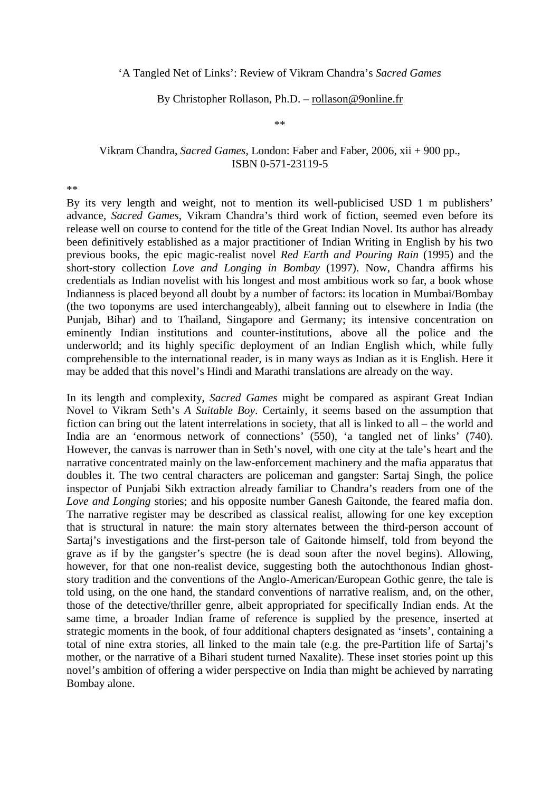## 'A Tangled Net of Links': Review of Vikram Chandra's *Sacred Games*

## By Christopher Rollason, Ph.D. – rollason@9online.fr

\*\*

## Vikram Chandra, *Sacred Games*, London: Faber and Faber, 2006, xii + 900 pp., ISBN 0-571-23119-5

\*\*

By its very length and weight, not to mention its well-publicised USD 1 m publishers' advance, *Sacred Games*, Vikram Chandra's third work of fiction, seemed even before its release well on course to contend for the title of the Great Indian Novel. Its author has already been definitively established as a major practitioner of Indian Writing in English by his two previous books, the epic magic-realist novel *Red Earth and Pouring Rain* (1995) and the short-story collection *Love and Longing in Bombay* (1997). Now, Chandra affirms his credentials as Indian novelist with his longest and most ambitious work so far, a book whose Indianness is placed beyond all doubt by a number of factors: its location in Mumbai/Bombay (the two toponyms are used interchangeably), albeit fanning out to elsewhere in India (the Punjab, Bihar) and to Thailand, Singapore and Germany; its intensive concentration on eminently Indian institutions and counter-institutions, above all the police and the underworld; and its highly specific deployment of an Indian English which, while fully comprehensible to the international reader, is in many ways as Indian as it is English. Here it may be added that this novel's Hindi and Marathi translations are already on the way.

In its length and complexity, *Sacred Games* might be compared as aspirant Great Indian Novel to Vikram Seth's *A Suitable Boy*. Certainly, it seems based on the assumption that fiction can bring out the latent interrelations in society, that all is linked to all – the world and India are an 'enormous network of connections' (550), 'a tangled net of links' (740). However, the canvas is narrower than in Seth's novel, with one city at the tale's heart and the narrative concentrated mainly on the law-enforcement machinery and the mafia apparatus that doubles it. The two central characters are policeman and gangster: Sartaj Singh, the police inspector of Punjabi Sikh extraction already familiar to Chandra's readers from one of the *Love and Longing* stories; and his opposite number Ganesh Gaitonde, the feared mafia don. The narrative register may be described as classical realist, allowing for one key exception that is structural in nature: the main story alternates between the third-person account of Sartaj's investigations and the first-person tale of Gaitonde himself, told from beyond the grave as if by the gangster's spectre (he is dead soon after the novel begins). Allowing, however, for that one non-realist device, suggesting both the autochthonous Indian ghoststory tradition and the conventions of the Anglo-American/European Gothic genre, the tale is told using, on the one hand, the standard conventions of narrative realism, and, on the other, those of the detective/thriller genre, albeit appropriated for specifically Indian ends. At the same time, a broader Indian frame of reference is supplied by the presence, inserted at strategic moments in the book, of four additional chapters designated as 'insets', containing a total of nine extra stories, all linked to the main tale (e.g. the pre-Partition life of Sartaj's mother, or the narrative of a Bihari student turned Naxalite). These inset stories point up this novel's ambition of offering a wider perspective on India than might be achieved by narrating Bombay alone.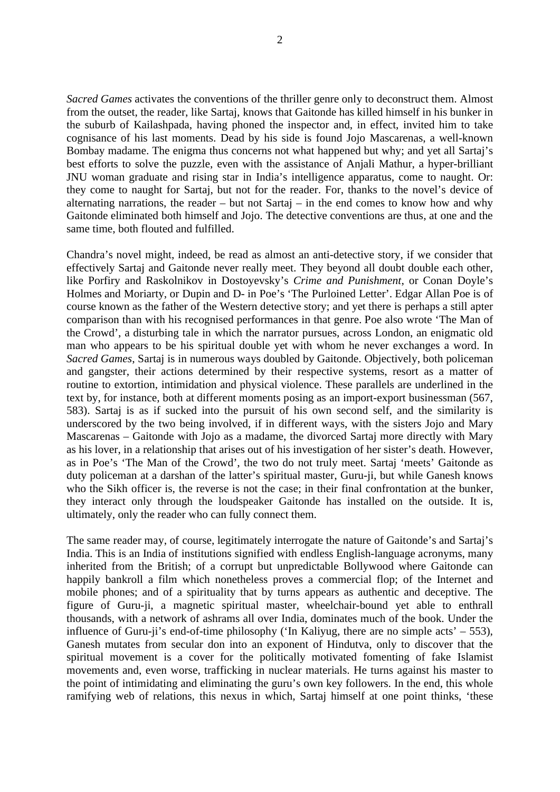*Sacred Games* activates the conventions of the thriller genre only to deconstruct them. Almost from the outset, the reader, like Sartaj, knows that Gaitonde has killed himself in his bunker in the suburb of Kailashpada, having phoned the inspector and, in effect, invited him to take cognisance of his last moments. Dead by his side is found Jojo Mascarenas, a well-known Bombay madame. The enigma thus concerns not what happened but why; and yet all Sartaj's best efforts to solve the puzzle, even with the assistance of Anjali Mathur, a hyper-brilliant JNU woman graduate and rising star in India's intelligence apparatus, come to naught. Or: they come to naught for Sartaj, but not for the reader. For, thanks to the novel's device of alternating narrations, the reader – but not Sartaj – in the end comes to know how and why Gaitonde eliminated both himself and Jojo. The detective conventions are thus, at one and the same time, both flouted and fulfilled.

Chandra's novel might, indeed, be read as almost an anti-detective story, if we consider that effectively Sartaj and Gaitonde never really meet. They beyond all doubt double each other, like Porfiry and Raskolnikov in Dostoyevsky's *Crime and Punishment*, or Conan Doyle's Holmes and Moriarty, or Dupin and D- in Poe's 'The Purloined Letter'. Edgar Allan Poe is of course known as the father of the Western detective story; and yet there is perhaps a still apter comparison than with his recognised performances in that genre. Poe also wrote 'The Man of the Crowd', a disturbing tale in which the narrator pursues, across London, an enigmatic old man who appears to be his spiritual double yet with whom he never exchanges a word. In *Sacred Games*, Sartaj is in numerous ways doubled by Gaitonde. Objectively, both policeman and gangster, their actions determined by their respective systems, resort as a matter of routine to extortion, intimidation and physical violence. These parallels are underlined in the text by, for instance, both at different moments posing as an import-export businessman (567, 583). Sartaj is as if sucked into the pursuit of his own second self, and the similarity is underscored by the two being involved, if in different ways, with the sisters Jojo and Mary Mascarenas – Gaitonde with Jojo as a madame, the divorced Sartaj more directly with Mary as his lover, in a relationship that arises out of his investigation of her sister's death. However, as in Poe's 'The Man of the Crowd', the two do not truly meet. Sartaj 'meets' Gaitonde as duty policeman at a darshan of the latter's spiritual master, Guru-ji, but while Ganesh knows who the Sikh officer is, the reverse is not the case; in their final confrontation at the bunker, they interact only through the loudspeaker Gaitonde has installed on the outside. It is, ultimately, only the reader who can fully connect them.

The same reader may, of course, legitimately interrogate the nature of Gaitonde's and Sartaj's India. This is an India of institutions signified with endless English-language acronyms, many inherited from the British; of a corrupt but unpredictable Bollywood where Gaitonde can happily bankroll a film which nonetheless proves a commercial flop; of the Internet and mobile phones; and of a spirituality that by turns appears as authentic and deceptive. The figure of Guru-ji, a magnetic spiritual master, wheelchair-bound yet able to enthrall thousands, with a network of ashrams all over India, dominates much of the book. Under the influence of Guru-ji's end-of-time philosophy ('In Kaliyug, there are no simple acts' – 553), Ganesh mutates from secular don into an exponent of Hindutva, only to discover that the spiritual movement is a cover for the politically motivated fomenting of fake Islamist movements and, even worse, trafficking in nuclear materials. He turns against his master to the point of intimidating and eliminating the guru's own key followers. In the end, this whole ramifying web of relations, this nexus in which, Sartaj himself at one point thinks, 'these